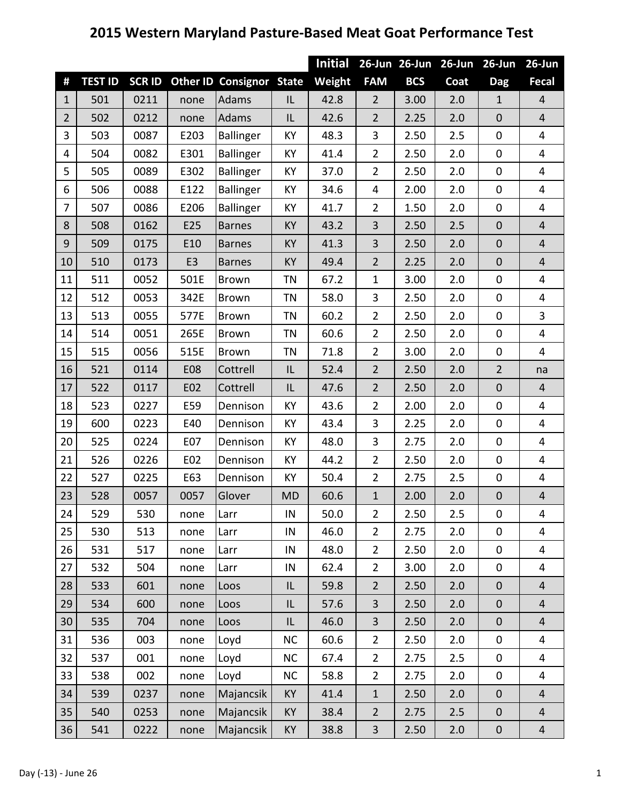## **2015 Western Maryland Pasture‐Based Meat Goat Performance Test**

|                |                |              |                |                                 |           | <b>Initial</b> |                         | 26-Jun 26-Jun | $26$ -Jun | $26$ -Jun        | $26$ -Jun                |
|----------------|----------------|--------------|----------------|---------------------------------|-----------|----------------|-------------------------|---------------|-----------|------------------|--------------------------|
| #              | <b>TEST ID</b> | <b>SCRID</b> |                | <b>Other ID Consignor State</b> |           | Weight         | <b>FAM</b>              | <b>BCS</b>    | Coat      | <b>Dag</b>       | <b>Fecal</b>             |
| $\mathbf{1}$   | 501            | 0211         | none           | <b>Adams</b>                    | IL        | 42.8           | $\overline{2}$          | 3.00          | 2.0       | $\mathbf{1}$     | $\overline{4}$           |
| $\overline{2}$ | 502            | 0212         | none           | <b>Adams</b>                    | IL        | 42.6           | $\overline{2}$          | 2.25          | 2.0       | $\boldsymbol{0}$ | $\overline{\mathbf{4}}$  |
| 3              | 503            | 0087         | E203           | <b>Ballinger</b>                | KY        | 48.3           | 3                       | 2.50          | 2.5       | $\mathbf 0$      | 4                        |
| 4              | 504            | 0082         | E301           | Ballinger                       | KY        | 41.4           | $\overline{2}$          | 2.50          | 2.0       | $\boldsymbol{0}$ | 4                        |
| 5              | 505            | 0089         | E302           | <b>Ballinger</b>                | KY        | 37.0           | $\overline{2}$          | 2.50          | 2.0       | $\pmb{0}$        | 4                        |
| 6              | 506            | 0088         | E122           | <b>Ballinger</b>                | KY        | 34.6           | $\overline{4}$          | 2.00          | 2.0       | $\mathbf 0$      | 4                        |
| 7              | 507            | 0086         | E206           | Ballinger                       | KY        | 41.7           | $\overline{2}$          | 1.50          | 2.0       | $\boldsymbol{0}$ | 4                        |
| 8              | 508            | 0162         | E25            | <b>Barnes</b>                   | KY        | 43.2           | 3                       | 2.50          | 2.5       | $\mathbf 0$      | $\overline{\mathbf{4}}$  |
| 9              | 509            | 0175         | E10            | <b>Barnes</b>                   | KY        | 41.3           | 3                       | 2.50          | 2.0       | $\boldsymbol{0}$ | $\overline{\mathbf{4}}$  |
| 10             | 510            | 0173         | E <sub>3</sub> | <b>Barnes</b>                   | KY        | 49.4           | $\overline{2}$          | 2.25          | 2.0       | $\mathbf 0$      | $\overline{\mathbf{4}}$  |
| 11             | 511            | 0052         | 501E           | Brown                           | <b>TN</b> | 67.2           | $\mathbf{1}$            | 3.00          | 2.0       | $\mathbf 0$      | 4                        |
| 12             | 512            | 0053         | 342E           | <b>Brown</b>                    | <b>TN</b> | 58.0           | 3                       | 2.50          | 2.0       | $\mathbf 0$      | 4                        |
| 13             | 513            | 0055         | 577E           | <b>Brown</b>                    | <b>TN</b> | 60.2           | $\overline{2}$          | 2.50          | 2.0       | $\mathbf 0$      | 3                        |
| 14             | 514            | 0051         | 265E           | <b>Brown</b>                    | <b>TN</b> | 60.6           | $\overline{2}$          | 2.50          | 2.0       | $\mathbf 0$      | 4                        |
| 15             | 515            | 0056         | 515E           | Brown                           | <b>TN</b> | 71.8           | $\overline{2}$          | 3.00          | 2.0       | $\mathbf 0$      | 4                        |
| 16             | 521            | 0114         | <b>E08</b>     | Cottrell                        | IL        | 52.4           | $\overline{2}$          | 2.50          | 2.0       | $\overline{2}$   | na                       |
| 17             | 522            | 0117         | E02            | Cottrell                        | IL        | 47.6           | $\overline{2}$          | 2.50          | 2.0       | $\overline{0}$   | $\overline{4}$           |
| 18             | 523            | 0227         | E59            | Dennison                        | KY        | 43.6           | $\overline{2}$          | 2.00          | 2.0       | $\pmb{0}$        | 4                        |
| 19             | 600            | 0223         | E40            | Dennison                        | KY        | 43.4           | 3                       | 2.25          | 2.0       | $\mathbf 0$      | 4                        |
| 20             | 525            | 0224         | E07            | Dennison                        | KY        | 48.0           | 3                       | 2.75          | 2.0       | 0                | 4                        |
| 21             | 526            | 0226         | E02            | Dennison                        | KY        | 44.2           | $\overline{2}$          | 2.50          | 2.0       | $\boldsymbol{0}$ | 4                        |
| 22             | 527            | 0225         | E63            | Dennison                        | KY        | 50.4           | $\overline{2}$          | 2.75          | 2.5       | $\boldsymbol{0}$ | 4                        |
| 23             | 528            | 0057         | 0057           | Glover                          | <b>MD</b> | 60.6           | $\mathbf{1}$            | 2.00          | 2.0       | $\pmb{0}$        | 4                        |
| 24             | 529            | 530          | none           | Larr                            | IN        | 50.0           | 2                       | 2.50          | 2.5       | 0                | 4                        |
| 25             | 530            | 513          | none           | Larr                            | IN        | 46.0           | $\overline{2}$          | 2.75          | 2.0       | $\mathbf 0$      | $\overline{\mathbf{4}}$  |
| 26             | 531            | 517          | none           | Larr                            | IN        | 48.0           | $\overline{2}$          | 2.50          | 2.0       | 0                | 4                        |
| 27             | 532            | 504          | none           | Larr                            | IN        | 62.4           | $\overline{2}$          | 3.00          | 2.0       | 0                | 4                        |
| 28             | 533            | 601          | none           | Loos                            | IL        | 59.8           | $\overline{2}$          | 2.50          | 2.0       | $\boldsymbol{0}$ | $\overline{\mathcal{L}}$ |
| 29             | 534            | 600          | none           | Loos                            | IL        | 57.6           | 3                       | 2.50          | 2.0       | $\boldsymbol{0}$ | $\overline{\mathbf{4}}$  |
| 30             | 535            | 704          | none           | Loos                            | IL        | 46.0           | 3                       | 2.50          | 2.0       | $\boldsymbol{0}$ | $\overline{\mathbf{4}}$  |
| 31             | 536            | 003          | none           | Loyd                            | <b>NC</b> | 60.6           | $\overline{2}$          | 2.50          | 2.0       | $\boldsymbol{0}$ | 4                        |
| 32             | 537            | 001          | none           | Loyd                            | NC        | 67.4           | $\overline{2}$          | 2.75          | 2.5       | $\pmb{0}$        | 4                        |
| 33             | 538            | 002          | none           | Loyd                            | <b>NC</b> | 58.8           | $\overline{2}$          | 2.75          | 2.0       | $\boldsymbol{0}$ | 4                        |
| 34             | 539            | 0237         | none           | Majancsik                       | <b>KY</b> | 41.4           | $\mathbf{1}$            | 2.50          | 2.0       | $\mathbf 0$      | $\overline{\mathbf{4}}$  |
| 35             | 540            | 0253         | none           | Majancsik                       | KY        | 38.4           | $\overline{2}$          | 2.75          | 2.5       | $\pmb{0}$        | $\overline{\mathbf{4}}$  |
| 36             | 541            | 0222         | none           | Majancsik                       | KY        | 38.8           | $\overline{\mathbf{3}}$ | 2.50          | 2.0       | $\pmb{0}$        | $\overline{4}$           |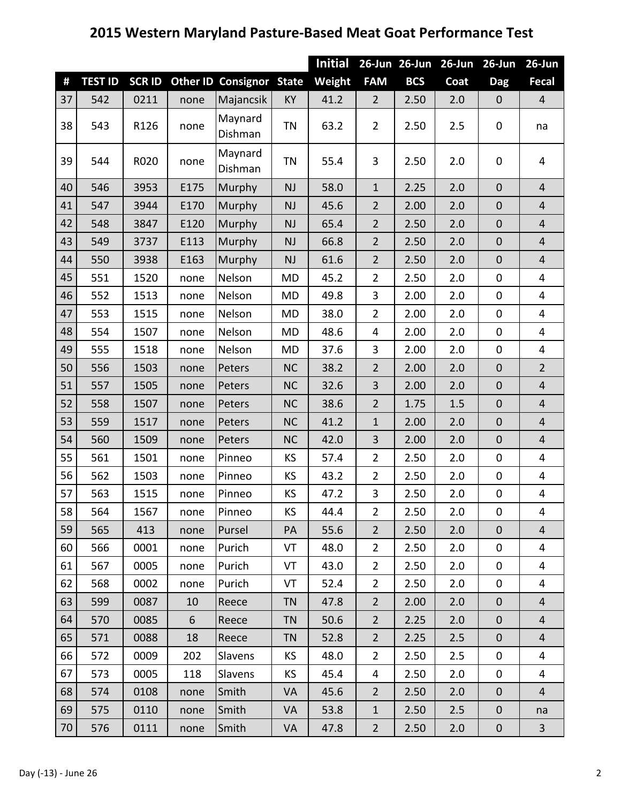## **Western Maryland Pasture‐Based Meat Goat Performance Test**

|    |                |              |      |                                 |           | <b>Initial</b> |                | 26-Jun 26-Jun | $26$ -Jun | $26$ -Jun        | $26$ -Jun                |
|----|----------------|--------------|------|---------------------------------|-----------|----------------|----------------|---------------|-----------|------------------|--------------------------|
| #  | <b>TEST ID</b> | <b>SCRID</b> |      | <b>Other ID Consignor State</b> |           | Weight         | <b>FAM</b>     | <b>BCS</b>    | Coat      | <b>Dag</b>       | <b>Fecal</b>             |
| 37 | 542            | 0211         | none | Majancsik                       | KY        | 41.2           | $\overline{2}$ | 2.50          | 2.0       | $\boldsymbol{0}$ | $\overline{4}$           |
| 38 | 543            | R126         | none | Maynard<br>Dishman              | <b>TN</b> | 63.2           | $\overline{2}$ | 2.50          | 2.5       | 0                | na                       |
| 39 | 544            | R020         | none | Maynard<br>Dishman              | <b>TN</b> | 55.4           | 3              | 2.50          | 2.0       | 0                | 4                        |
| 40 | 546            | 3953         | E175 | Murphy                          | <b>NJ</b> | 58.0           | $\mathbf{1}$   | 2.25          | 2.0       | $\mathbf 0$      | $\overline{4}$           |
| 41 | 547            | 3944         | E170 | Murphy                          | <b>NJ</b> | 45.6           | $\overline{2}$ | 2.00          | 2.0       | $\mathbf 0$      | $\overline{4}$           |
| 42 | 548            | 3847         | E120 | Murphy                          | <b>NJ</b> | 65.4           | $\overline{2}$ | 2.50          | 2.0       | $\mathbf 0$      | $\overline{\mathbf{4}}$  |
| 43 | 549            | 3737         | E113 | Murphy                          | <b>NJ</b> | 66.8           | $\overline{2}$ | 2.50          | 2.0       | $\mathbf 0$      | $\overline{\mathbf{4}}$  |
| 44 | 550            | 3938         | E163 | <b>Murphy</b>                   | <b>NJ</b> | 61.6           | $\overline{2}$ | 2.50          | 2.0       | $\mathbf 0$      | $\overline{\mathbf{4}}$  |
| 45 | 551            | 1520         | none | Nelson                          | <b>MD</b> | 45.2           | $\overline{2}$ | 2.50          | 2.0       | $\boldsymbol{0}$ | 4                        |
| 46 | 552            | 1513         | none | Nelson                          | <b>MD</b> | 49.8           | 3              | 2.00          | 2.0       | $\pmb{0}$        | 4                        |
| 47 | 553            | 1515         | none | Nelson                          | <b>MD</b> | 38.0           | $\overline{2}$ | 2.00          | 2.0       | $\boldsymbol{0}$ | 4                        |
| 48 | 554            | 1507         | none | Nelson                          | <b>MD</b> | 48.6           | 4              | 2.00          | 2.0       | $\pmb{0}$        | 4                        |
| 49 | 555            | 1518         | none | Nelson                          | <b>MD</b> | 37.6           | 3              | 2.00          | 2.0       | $\boldsymbol{0}$ | 4                        |
| 50 | 556            | 1503         | none | Peters                          | <b>NC</b> | 38.2           | $\overline{2}$ | 2.00          | 2.0       | $\mathbf 0$      | $\overline{2}$           |
| 51 | 557            | 1505         | none | Peters                          | <b>NC</b> | 32.6           | 3              | 2.00          | 2.0       | $\mathbf 0$      | $\overline{4}$           |
| 52 | 558            | 1507         | none | Peters                          | <b>NC</b> | 38.6           | $\overline{2}$ | 1.75          | 1.5       | $\mathbf 0$      | $\overline{\mathcal{L}}$ |
| 53 | 559            | 1517         | none | Peters                          | <b>NC</b> | 41.2           | $\mathbf{1}$   | 2.00          | 2.0       | $\boldsymbol{0}$ | $\overline{4}$           |
| 54 | 560            | 1509         | none | Peters                          | <b>NC</b> | 42.0           | 3              | 2.00          | 2.0       | $\mathbf 0$      | $\overline{\mathbf{4}}$  |
| 55 | 561            | 1501         | none | Pinneo                          | KS        | 57.4           | $\overline{2}$ | 2.50          | 2.0       | $\pmb{0}$        | 4                        |
| 56 | 562            | 1503         | none | Pinneo                          | KS        | 43.2           | $\overline{2}$ | 2.50          | 2.0       | $\pmb{0}$        | 4                        |
| 57 | 563            | 1515         | none | Pinneo                          | KS        | 47.2           | 3              | 2.50          | 2.0       | $\pmb{0}$        | 4                        |
| 58 | 564            | 1567         | none | Pinneo                          | KS        | 44.4           | $\overline{2}$ | 2.50          | 2.0       | $\mathbf 0$      | 4                        |
| 59 | 565            | 413          | none | Pursel                          | PA        | 55.6           | $2^{\circ}$    | 2.50          | 2.0       | $\mathbf 0$      | $\overline{4}$           |
| 60 | 566            | 0001         | none | Purich                          | VT        | 48.0           | $\overline{2}$ | 2.50          | 2.0       | $\pmb{0}$        | 4                        |
| 61 | 567            | 0005         | none | Purich                          | VT        | 43.0           | $\overline{2}$ | 2.50          | 2.0       | $\mathbf 0$      | 4                        |
| 62 | 568            | 0002         | none | Purich                          | VT        | 52.4           | $\overline{2}$ | 2.50          | 2.0       | $\mathbf 0$      | 4                        |
| 63 | 599            | 0087         | 10   | Reece                           | <b>TN</b> | 47.8           | $2^{\circ}$    | 2.00          | 2.0       | $\boldsymbol{0}$ | $\overline{4}$           |
| 64 | 570            | 0085         | 6    | Reece                           | <b>TN</b> | 50.6           | $2^{\circ}$    | 2.25          | 2.0       | $\mathbf 0$      | $\overline{4}$           |
| 65 | 571            | 0088         | 18   | Reece                           | <b>TN</b> | 52.8           | $\overline{2}$ | 2.25          | 2.5       | $\boldsymbol{0}$ | $\overline{4}$           |
| 66 | 572            | 0009         | 202  | <b>Slavens</b>                  | KS        | 48.0           | $\overline{2}$ | 2.50          | 2.5       | 0                | 4                        |
| 67 | 573            | 0005         | 118  | Slavens                         | KS        | 45.4           | 4              | 2.50          | 2.0       | 0                | 4                        |
| 68 | 574            | 0108         | none | Smith                           | <b>VA</b> | 45.6           | $2^{\circ}$    | 2.50          | 2.0       | $\boldsymbol{0}$ | $\overline{4}$           |
| 69 | 575            | 0110         | none | Smith                           | <b>VA</b> | 53.8           | $\mathbf{1}$   | 2.50          | 2.5       | $\pmb{0}$        | na                       |
| 70 | 576            | 0111         | none | Smith                           | VA        | 47.8           | $\overline{2}$ | 2.50          | 2.0       | 0                | $\overline{3}$           |